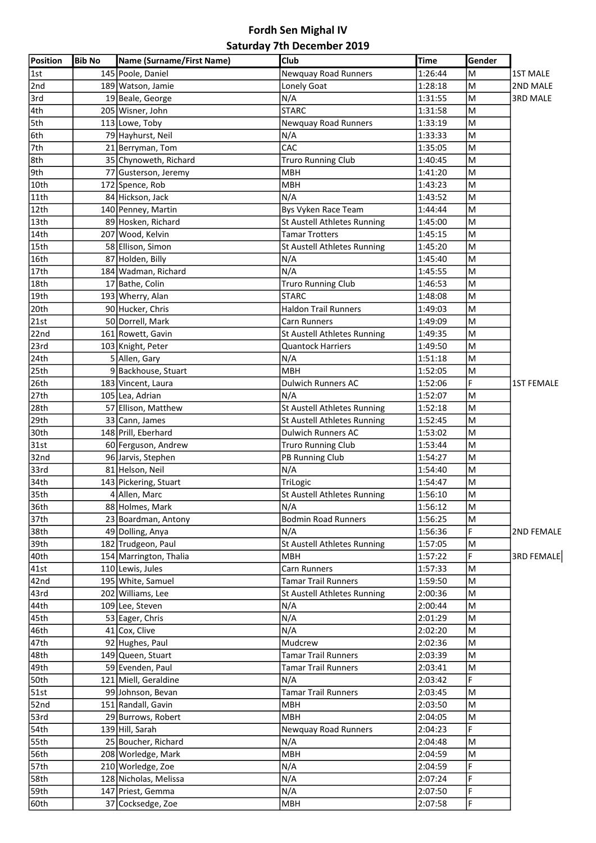## Fordh Sen Mighal IV Saturday 7th December 2019

| Position           | <b>Bib No</b> | Name (Surname/First Name) | Club                               | <b>Time</b> | Gender |                   |
|--------------------|---------------|---------------------------|------------------------------------|-------------|--------|-------------------|
| 1st                |               | 145 Poole, Daniel         | Newquay Road Runners               | 1:26:44     | M      | <b>1ST MALE</b>   |
| 2nd                |               | 189 Watson, Jamie         | Lonely Goat                        | 1:28:18     | M      | 2ND MALE          |
| 3rd                |               | 19 Beale, George          | N/A                                | 1:31:55     | lм     | <b>3RD MALE</b>   |
| 4th                |               | 205 Wisner, John          | <b>STARC</b>                       | 1:31:58     | lм     |                   |
| 5th                |               | 113 Lowe, Toby            | <b>Newquay Road Runners</b>        | 1:33:19     | M      |                   |
| 6th                |               | 79 Hayhurst, Neil         | N/A                                | 1:33:33     | M      |                   |
| $\sqrt{7}$ th      |               | 21 Berryman, Tom          | CAC                                | 1:35:05     | M      |                   |
| 8th                |               | 35 Chynoweth, Richard     | <b>Truro Running Club</b>          | 1:40:45     | M      |                   |
| 9th                |               | 77 Gusterson, Jeremy      | <b>MBH</b>                         | 1:41:20     | M      |                   |
| $\sqrt{10}$ th     |               | 172 Spence, Rob           | <b>MBH</b>                         | 1:43:23     | M      |                   |
| $\overline{11}$ th |               | 84 Hickson, Jack          | N/A                                | 1:43:52     | M      |                   |
| $\sqrt{12th}$      |               | 140 Penney, Martin        | Bys Vyken Race Team                | 1:44:44     | M      |                   |
| $\sqrt{13th}$      |               | 89 Hosken, Richard        | St Austell Athletes Running        | 1:45:00     | M      |                   |
| 14th               |               | 207 Wood, Kelvin          | <b>Tamar Trotters</b>              | 1:45:15     | M      |                   |
| 15th               |               | 58 Ellison, Simon         | St Austell Athletes Running        | 1:45:20     | M      |                   |
| 16th               |               | 87 Holden, Billy          | N/A                                | 1:45:40     | M      |                   |
| 17th               |               | 184 Wadman, Richard       | N/A                                | 1:45:55     | ΙM     |                   |
| 18th               |               | 17 Bathe, Colin           | <b>Truro Running Club</b>          | 1:46:53     | M      |                   |
| $\sqrt{19}$ th     |               | 193 Wherry, Alan          | <b>STARC</b>                       | 1:48:08     | M      |                   |
| 20th               |               | 90 Hucker, Chris          | Haldon Trail Runners               | 1:49:03     | M      |                   |
| $\sqrt{2}$ 1st     |               | 50 Dorrell, Mark          | Carn Runners                       | 1:49:09     | lм     |                   |
| 22nd               |               | 161 Rowett, Gavin         | <b>St Austell Athletes Running</b> | 1:49:35     | M      |                   |
| 23rd               |               | 103 Knight, Peter         | <b>Quantock Harriers</b>           | 1:49:50     | lм     |                   |
| $\sqrt{24}$ th     |               | 5 Allen, Gary             | N/A                                | 1:51:18     | M      |                   |
| $\overline{25}$ th |               | 9 Backhouse, Stuart       | <b>MBH</b>                         | 1:52:05     | M      |                   |
| 26th               |               | 183 Vincent, Laura        | <b>Dulwich Runners AC</b>          | 1:52:06     | F      | <b>1ST FEMALE</b> |
| 27th               |               | 105 Lea, Adrian           | N/A                                | 1:52:07     | M      |                   |
| 28th               |               | 57 Ellison, Matthew       | St Austell Athletes Running        | 1:52:18     | M      |                   |
| 29th               |               | 33 Cann, James            | St Austell Athletes Running        | 1:52:45     | M      |                   |
| 30th               |               | 148 Prill, Eberhard       | Dulwich Runners AC                 | 1:53:02     | M      |                   |
| 31st               |               | 60 Ferguson, Andrew       | <b>Truro Running Club</b>          | 1:53:44     | M      |                   |
| 32nd               |               | 96 Jarvis, Stephen        | PB Running Club                    | 1:54:27     | M      |                   |
| 33rd               |               | 81 Helson, Neil           | N/A                                | 1:54:40     | M      |                   |
| 34th               |               | 143 Pickering, Stuart     | TriLogic                           | 1:54:47     | M      |                   |
| 35th               |               | 4 Allen, Marc             | St Austell Athletes Running        | 1:56:10     | M      |                   |
| 36th               |               | 88 Holmes, Mark           | N/A                                | 1:56:12     | M      |                   |
| 37th               |               | 23 Boardman, Antony       | <b>Bodmin Road Runners</b>         | 1:56:25     | M      |                   |
| 38th               |               | 49 Dolling, Anya          | N/A                                | 1:56:36     | F      | 2ND FEMALE        |
| $\sqrt{39}$ th     |               | 182 Trudgeon, Paul        | <b>St Austell Athletes Running</b> | 1:57:05     | M      |                   |
| 40th               |               | 154 Marrington, Thalia    | <b>MBH</b>                         | 1:57:22     | F      | <b>3RD FEMALE</b> |
| $\sqrt{41st}$      |               | 110 Lewis, Jules          | Carn Runners                       | 1:57:33     | M      |                   |
| 42nd               |               | 195 White, Samuel         | <b>Tamar Trail Runners</b>         | 1:59:50     | M      |                   |
| 43rd               |               | 202 Williams, Lee         | <b>St Austell Athletes Running</b> | 2:00:36     | M      |                   |
| $\sqrt{44}$ th     |               | 109 Lee, Steven           | N/A                                | 2:00:44     | M      |                   |
| 45th               |               | 53 Eager, Chris           | N/A                                | 2:01:29     | M      |                   |
| 46th               |               | 41 Cox, Clive             | N/A                                | 2:02:20     | M      |                   |
| 47th               |               | 92 Hughes, Paul           | Mudcrew                            | 2:02:36     | M      |                   |
| 48th               |               | 149 Queen, Stuart         | <b>Tamar Trail Runners</b>         | 2:03:39     | M      |                   |
| 49th               |               | 59 Evenden, Paul          | <b>Tamar Trail Runners</b>         | 2:03:41     | M      |                   |
| 50th               |               | 121 Miell, Geraldine      | N/A                                | 2:03:42     | F      |                   |
| 51st               |               | 99 Johnson, Bevan         | <b>Tamar Trail Runners</b>         | 2:03:45     | M      |                   |
| $\overline{5}$ 2nd |               | 151 Randall, Gavin        | <b>MBH</b>                         | 2:03:50     | M      |                   |
| 53rd               |               | 29 Burrows, Robert        | <b>MBH</b>                         | 2:04:05     | M      |                   |
| 54 <sub>th</sub>   |               | 139 Hill, Sarah           | Newquay Road Runners               | 2:04:23     | F      |                   |
| 55th               |               | 25 Boucher, Richard       | N/A                                | 2:04:48     | M      |                   |
| $\overline{56}$ th |               | 208 Worledge, Mark        | <b>MBH</b>                         | 2:04:59     | lм     |                   |
| $\sqrt{57}$ th     |               | 210 Worledge, Zoe         | N/A                                | 2:04:59     | F      |                   |
| 58 <sub>th</sub>   |               | 128 Nicholas, Melissa     | N/A                                | 2:07:24     | F      |                   |
| 59th               |               | 147 Priest, Gemma         | N/A                                | 2:07:50     | F      |                   |
| 60th               |               |                           | <b>MBH</b>                         |             | F      |                   |
|                    |               | 37 Cocksedge, Zoe         |                                    | 2:07:58     |        |                   |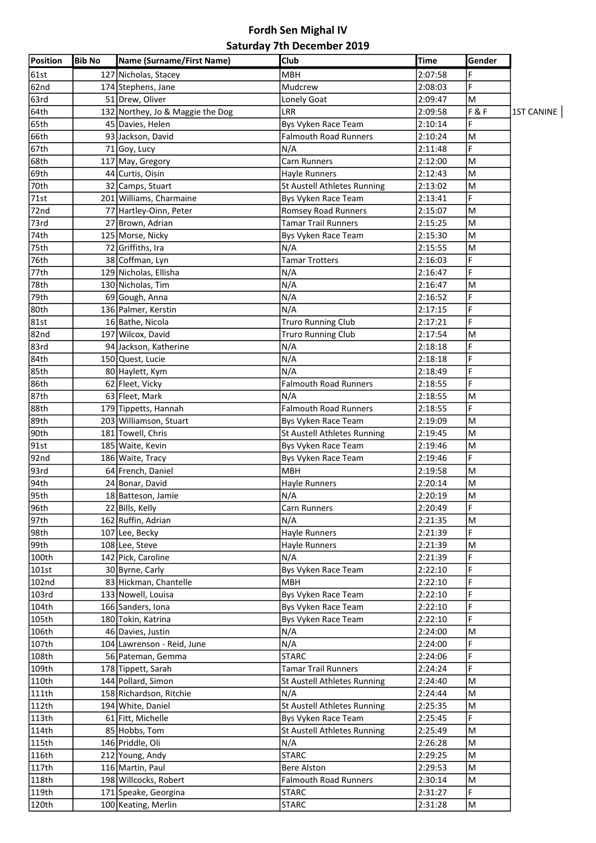## Fordh Sen Mighal IV Saturday 7th December 2019

| Position        | <b>Bib No</b> | Name (Surname/First Name)        | Club                         | <b>Time</b> | Gender |                   |
|-----------------|---------------|----------------------------------|------------------------------|-------------|--------|-------------------|
| 61st            |               | 127 Nicholas, Stacey             | <b>MBH</b>                   | 2:07:58     | F      |                   |
| 62nd            |               | 174 Stephens, Jane               | Mudcrew                      | 2:08:03     | F      |                   |
| 63rd            |               | 51 Drew, Oliver                  | Lonely Goat                  | 2:09:47     | M      |                   |
| 64th            |               | 132 Northey, Jo & Maggie the Dog | LRR                          | 2:09:58     | F & F  | <b>1ST CANINE</b> |
| $\sqrt{65}$ th  |               | 45 Davies, Helen                 | Bys Vyken Race Team          | 2:10:14     | F      |                   |
| 66th            |               | 93 Jackson, David                | <b>Falmouth Road Runners</b> | 2:10:24     | M      |                   |
| 67th            |               | 71 Goy, Lucy                     | N/A                          | 2:11:48     | F      |                   |
| 68th            |               | 117 May, Gregory                 | <b>Carn Runners</b>          | 2:12:00     | M      |                   |
| 69th            |               | 44 Curtis, Oisin                 | <b>Hayle Runners</b>         | 2:12:43     | M      |                   |
| 70th            |               | 32 Camps, Stuart                 | St Austell Athletes Running  | 2:13:02     | M      |                   |
| 71st            |               | 201 Williams, Charmaine          | Bys Vyken Race Team          | 2:13:41     | F      |                   |
| 72nd            |               | 77 Hartley-Oinn, Peter           | Romsey Road Runners          | 2:15:07     | M      |                   |
| 73rd            |               | 27 Brown, Adrian                 | Tamar Trail Runners          | 2:15:25     | M      |                   |
| 74th            |               | 125 Morse, Nicky                 | Bys Vyken Race Team          | 2:15:30     | M      |                   |
|                 |               |                                  | N/A                          |             | M      |                   |
| 75th            |               | 72 Griffiths, Ira                |                              | 2:15:55     | F      |                   |
| 76th            |               | 38 Coffman, Lyn                  | <b>Tamar Trotters</b>        | 2:16:03     | F      |                   |
| 77th            |               | 129 Nicholas, Ellisha            | N/A                          | 2:16:47     |        |                   |
| 78th            |               | 130 Nicholas, Tim                | N/A                          | 2:16:47     | M      |                   |
| 79th            |               | 69 Gough, Anna                   | N/A                          | 2:16:52     | F      |                   |
| 80th            |               | 136 Palmer, Kerstin              | N/A                          | 2:17:15     | F      |                   |
| 81st            |               | 16 Bathe, Nicola                 | Truro Running Club           | 2:17:21     | F      |                   |
| 82nd            |               | 197 Wilcox, David                | <b>Truro Running Club</b>    | 2:17:54     | M      |                   |
| 83rd            |               | 94 Jackson, Katherine            | N/A                          | 2:18:18     | F      |                   |
| $\sqrt{84}$ th  |               | 150 Quest, Lucie                 | N/A                          | 2:18:18     | F      |                   |
| $\sqrt{85}$ th  |               | 80 Haylett, Kym                  | N/A                          | 2:18:49     | F      |                   |
| 86th            |               | 62 Fleet, Vicky                  | <b>Falmouth Road Runners</b> | 2:18:55     | F      |                   |
| 87th            |               | 63 Fleet, Mark                   | N/A                          | 2:18:55     | M      |                   |
| 88th            |               | 179 Tippetts, Hannah             | <b>Falmouth Road Runners</b> | 2:18:55     | F      |                   |
| 89th            |               | 203 Williamson, Stuart           | Bys Vyken Race Team          | 2:19:09     | M      |                   |
| 90th            |               | 181 Towell, Chris                | St Austell Athletes Running  | 2:19:45     | M      |                   |
| 91st            |               | 185 Waite, Kevin                 | Bys Vyken Race Team          | 2:19:46     | M      |                   |
| 92nd            |               | 186 Waite, Tracy                 | Bys Vyken Race Team          | 2:19:46     | F      |                   |
| 93rd            |               | 64 French, Daniel                | мвн                          | 2:19:58     | M      |                   |
| $\sqrt{94}$ th  |               | 24 Bonar, David                  | <b>Hayle Runners</b>         | 2:20:14     | M      |                   |
| 95th            |               | 18 Batteson, Jamie               | N/A                          | 2:20:19     | M      |                   |
| 96th            |               | 22 Bills, Kelly                  | Carn Runners                 | 2:20:49     | F      |                   |
| 97th            |               | 162 Ruffin, Adrian               | N/A                          | 2:21:35     | M      |                   |
| 98th            |               | 107 Lee, Becky                   | Hayle Runners                | 2:21:39     | F.     |                   |
| 99th            |               | 108 Lee, Steve                   | Hayle Runners                | 2:21:39     | M      |                   |
| $\sqrt{100th}$  |               | 142 Pick, Caroline               | N/A                          | 2:21:39     | F      |                   |
| 101st           |               | 30 Byrne, Carly                  | Bys Vyken Race Team          | 2:22:10     | F      |                   |
| 102nd           |               | 83 Hickman, Chantelle            | <b>MBH</b>                   | 2:22:10     | F      |                   |
| 103rd           |               | 133 Nowell, Louisa               | Bys Vyken Race Team          | 2:22:10     | F      |                   |
| 104th           |               | 166 Sanders, Iona                | Bys Vyken Race Team          | 2:22:10     | F      |                   |
| 105th           |               | 180 Tokin, Katrina               | Bys Vyken Race Team          | 2:22:10     | F      |                   |
| 106th           |               | 46 Davies, Justin                | N/A                          | 2:24:00     | M      |                   |
| 107th           |               | 104 Lawrenson - Reid, June       | N/A                          | 2:24:00     | F      |                   |
| 108th           |               |                                  | <b>STARC</b>                 | 2:24:06     | F      |                   |
|                 |               | 56 Pateman, Gemma                |                              |             |        |                   |
| 109th           |               | 178 Tippett, Sarah               | <b>Tamar Trail Runners</b>   | 2:24:24     | F      |                   |
| 110th           |               | 144 Pollard, Simon               | St Austell Athletes Running  | 2:24:40     | M      |                   |
| 111th           |               | 158 Richardson, Ritchie          | N/A                          | 2:24:44     | M      |                   |
| $\sqrt{112}$ th |               | 194 White, Daniel                | St Austell Athletes Running  | 2:25:35     | M      |                   |
| $\sqrt{113}$ th |               | 61 Fitt, Michelle                | Bys Vyken Race Team          | 2:25:45     | F      |                   |
| 114th           |               | 85 Hobbs, Tom                    | St Austell Athletes Running  | 2:25:49     | M      |                   |
| 115th           |               | 146 Priddle, Oli                 | N/A                          | 2:26:28     | M      |                   |
| 116th           |               | 212 Young, Andy                  | <b>STARC</b>                 | 2:29:25     | M      |                   |
| $\sqrt{117}$ th |               | 116 Martin, Paul                 | <b>Bere Alston</b>           | 2:29:53     | M      |                   |
| 118th           |               | 198 Willcocks, Robert            | <b>Falmouth Road Runners</b> | 2:30:14     | M      |                   |
| 119th           |               | 171 Speake, Georgina             | <b>STARC</b>                 | 2:31:27     | F      |                   |
| 120th           |               | 100 Keating, Merlin              | <b>STARC</b>                 | 2:31:28     | M      |                   |